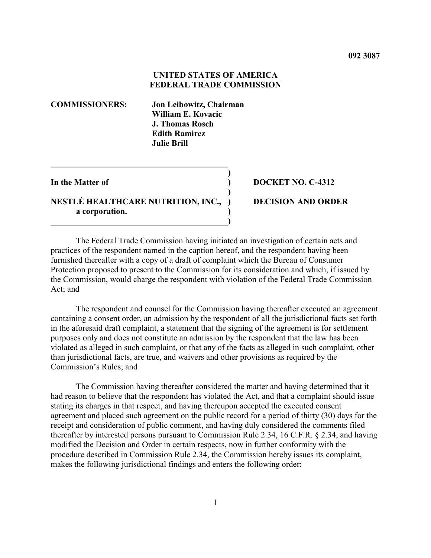# **UNITED STATES OF AMERICA FEDERAL TRADE COMMISSION**

**)**

**)**

**COMMISSIONERS: Jon Leibowitz, Chairman William E. Kovacic J. Thomas Rosch Edith Ramirez Julie Brill**

# **NESTLÉ HEALTHCARE NUTRITION, INC., ) DECISION AND ORDER a corporation. ) )**

## **In the Matter of ) DOCKET NO. C-4312**

The Federal Trade Commission having initiated an investigation of certain acts and practices of the respondent named in the caption hereof, and the respondent having been furnished thereafter with a copy of a draft of complaint which the Bureau of Consumer Protection proposed to present to the Commission for its consideration and which, if issued by the Commission, would charge the respondent with violation of the Federal Trade Commission Act; and

The respondent and counsel for the Commission having thereafter executed an agreement containing a consent order, an admission by the respondent of all the jurisdictional facts set forth in the aforesaid draft complaint, a statement that the signing of the agreement is for settlement purposes only and does not constitute an admission by the respondent that the law has been violated as alleged in such complaint, or that any of the facts as alleged in such complaint, other than jurisdictional facts, are true, and waivers and other provisions as required by the Commission's Rules; and

The Commission having thereafter considered the matter and having determined that it had reason to believe that the respondent has violated the Act, and that a complaint should issue stating its charges in that respect, and having thereupon accepted the executed consent agreement and placed such agreement on the public record for a period of thirty (30) days for the receipt and consideration of public comment, and having duly considered the comments filed thereafter by interested persons pursuant to Commission Rule 2.34, 16 C.F.R. § 2.34, and having modified the Decision and Order in certain respects, now in further conformity with the procedure described in Commission Rule 2.34, the Commission hereby issues its complaint, makes the following jurisdictional findings and enters the following order: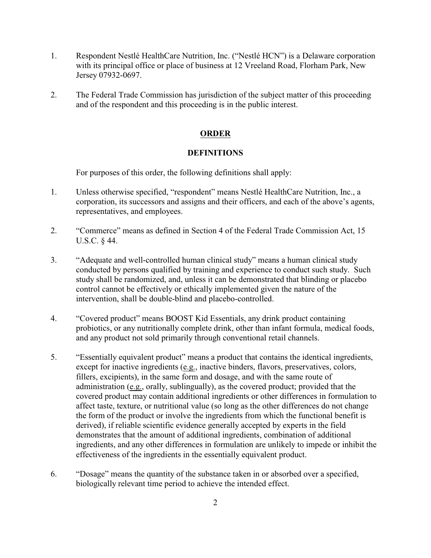- 1. Respondent Nestlé HealthCare Nutrition, Inc. ("Nestlé HCN") is a Delaware corporation with its principal office or place of business at 12 Vreeland Road, Florham Park, New Jersey 07932-0697.
- 2. The Federal Trade Commission has jurisdiction of the subject matter of this proceeding and of the respondent and this proceeding is in the public interest.

# **ORDER**

## **DEFINITIONS**

For purposes of this order, the following definitions shall apply:

- 1. Unless otherwise specified, "respondent" means Nestlé HealthCare Nutrition, Inc., a corporation, its successors and assigns and their officers, and each of the above's agents, representatives, and employees.
- 2. "Commerce" means as defined in Section 4 of the Federal Trade Commission Act, 15 U.S.C. § 44.
- 3. "Adequate and well-controlled human clinical study" means a human clinical study conducted by persons qualified by training and experience to conduct such study. Such study shall be randomized, and, unless it can be demonstrated that blinding or placebo control cannot be effectively or ethically implemented given the nature of the intervention, shall be double-blind and placebo-controlled.
- 4. "Covered product" means BOOST Kid Essentials, any drink product containing probiotics, or any nutritionally complete drink, other than infant formula, medical foods, and any product not sold primarily through conventional retail channels.
- 5. "Essentially equivalent product" means a product that contains the identical ingredients, except for inactive ingredients (e.g., inactive binders, flavors, preservatives, colors, fillers, excipients), in the same form and dosage, and with the same route of administration (e.g., orally, sublingually), as the covered product; provided that the covered product may contain additional ingredients or other differences in formulation to affect taste, texture, or nutritional value (so long as the other differences do not change the form of the product or involve the ingredients from which the functional benefit is derived), if reliable scientific evidence generally accepted by experts in the field demonstrates that the amount of additional ingredients, combination of additional ingredients, and any other differences in formulation are unlikely to impede or inhibit the effectiveness of the ingredients in the essentially equivalent product.
- 6. "Dosage" means the quantity of the substance taken in or absorbed over a specified, biologically relevant time period to achieve the intended effect.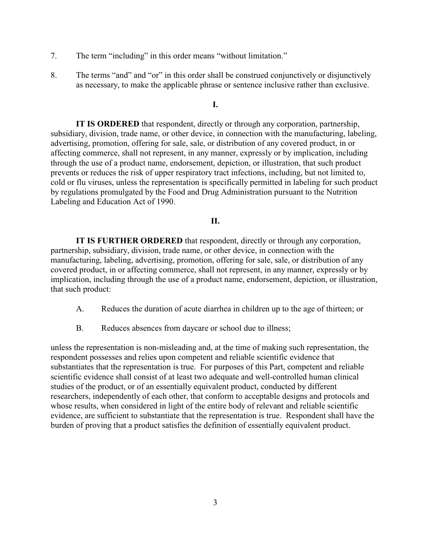- 7. The term "including" in this order means "without limitation."
- 8. The terms "and" and "or" in this order shall be construed conjunctively or disjunctively as necessary, to make the applicable phrase or sentence inclusive rather than exclusive.

# **I.**

**IT IS ORDERED** that respondent, directly or through any corporation, partnership, subsidiary, division, trade name, or other device, in connection with the manufacturing, labeling, advertising, promotion, offering for sale, sale, or distribution of any covered product, in or affecting commerce, shall not represent, in any manner, expressly or by implication, including through the use of a product name, endorsement, depiction, or illustration, that such product prevents or reduces the risk of upper respiratory tract infections, including, but not limited to, cold or flu viruses, unless the representation is specifically permitted in labeling for such product by regulations promulgated by the Food and Drug Administration pursuant to the Nutrition Labeling and Education Act of 1990.

# **II.**

**IT IS FURTHER ORDERED** that respondent, directly or through any corporation, partnership, subsidiary, division, trade name, or other device, in connection with the manufacturing, labeling, advertising, promotion, offering for sale, sale, or distribution of any covered product, in or affecting commerce, shall not represent, in any manner, expressly or by implication, including through the use of a product name, endorsement, depiction, or illustration, that such product:

- A. Reduces the duration of acute diarrhea in children up to the age of thirteen; or
- B. Reduces absences from daycare or school due to illness;

unless the representation is non-misleading and, at the time of making such representation, the respondent possesses and relies upon competent and reliable scientific evidence that substantiates that the representation is true. For purposes of this Part, competent and reliable scientific evidence shall consist of at least two adequate and well-controlled human clinical studies of the product, or of an essentially equivalent product, conducted by different researchers, independently of each other, that conform to acceptable designs and protocols and whose results, when considered in light of the entire body of relevant and reliable scientific evidence, are sufficient to substantiate that the representation is true. Respondent shall have the burden of proving that a product satisfies the definition of essentially equivalent product.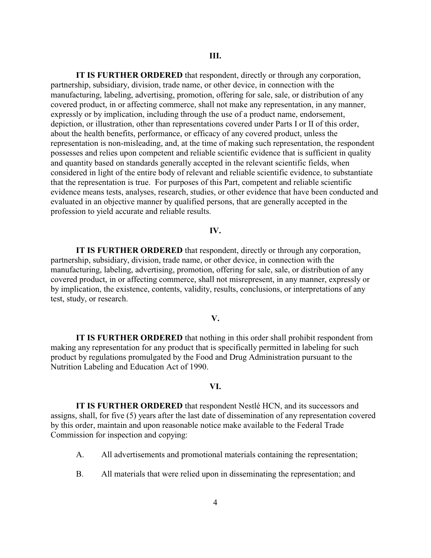**IT IS FURTHER ORDERED** that respondent, directly or through any corporation, partnership, subsidiary, division, trade name, or other device, in connection with the manufacturing, labeling, advertising, promotion, offering for sale, sale, or distribution of any covered product, in or affecting commerce, shall not make any representation, in any manner, expressly or by implication, including through the use of a product name, endorsement, depiction, or illustration, other than representations covered under Parts I or II of this order, about the health benefits, performance, or efficacy of any covered product, unless the representation is non-misleading, and, at the time of making such representation, the respondent possesses and relies upon competent and reliable scientific evidence that is sufficient in quality and quantity based on standards generally accepted in the relevant scientific fields, when considered in light of the entire body of relevant and reliable scientific evidence, to substantiate that the representation is true. For purposes of this Part, competent and reliable scientific evidence means tests, analyses, research, studies, or other evidence that have been conducted and evaluated in an objective manner by qualified persons, that are generally accepted in the profession to yield accurate and reliable results.

### **IV.**

**IT IS FURTHER ORDERED** that respondent, directly or through any corporation, partnership, subsidiary, division, trade name, or other device, in connection with the manufacturing, labeling, advertising, promotion, offering for sale, sale, or distribution of any covered product, in or affecting commerce, shall not misrepresent, in any manner, expressly or by implication, the existence, contents, validity, results, conclusions, or interpretations of any test, study, or research.

#### **V.**

**IT IS FURTHER ORDERED** that nothing in this order shall prohibit respondent from making any representation for any product that is specifically permitted in labeling for such product by regulations promulgated by the Food and Drug Administration pursuant to the Nutrition Labeling and Education Act of 1990.

## **VI.**

**IT IS FURTHER ORDERED** that respondent Nestlé HCN, and its successors and assigns, shall, for five (5) years after the last date of dissemination of any representation covered by this order, maintain and upon reasonable notice make available to the Federal Trade Commission for inspection and copying:

- A. All advertisements and promotional materials containing the representation;
- B. All materials that were relied upon in disseminating the representation; and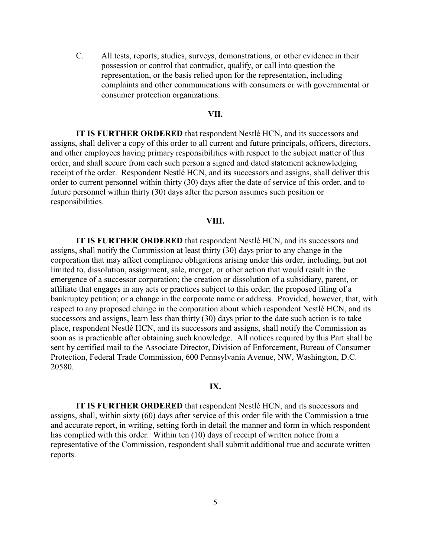C. All tests, reports, studies, surveys, demonstrations, or other evidence in their possession or control that contradict, qualify, or call into question the representation, or the basis relied upon for the representation, including complaints and other communications with consumers or with governmental or consumer protection organizations.

### **VII.**

**IT IS FURTHER ORDERED** that respondent Nestlé HCN, and its successors and assigns, shall deliver a copy of this order to all current and future principals, officers, directors, and other employees having primary responsibilities with respect to the subject matter of this order, and shall secure from each such person a signed and dated statement acknowledging receipt of the order. Respondent Nestlé HCN, and its successors and assigns, shall deliver this order to current personnel within thirty (30) days after the date of service of this order, and to future personnel within thirty (30) days after the person assumes such position or responsibilities.

# **VIII.**

**IT IS FURTHER ORDERED** that respondent Nestlé HCN, and its successors and assigns, shall notify the Commission at least thirty (30) days prior to any change in the corporation that may affect compliance obligations arising under this order, including, but not limited to, dissolution, assignment, sale, merger, or other action that would result in the emergence of a successor corporation; the creation or dissolution of a subsidiary, parent, or affiliate that engages in any acts or practices subject to this order; the proposed filing of a bankruptcy petition; or a change in the corporate name or address. Provided, however, that, with respect to any proposed change in the corporation about which respondent Nestlé HCN, and its successors and assigns, learn less than thirty (30) days prior to the date such action is to take place, respondent Nestlé HCN, and its successors and assigns, shall notify the Commission as soon as is practicable after obtaining such knowledge. All notices required by this Part shall be sent by certified mail to the Associate Director, Division of Enforcement, Bureau of Consumer Protection, Federal Trade Commission, 600 Pennsylvania Avenue, NW, Washington, D.C. 20580.

#### **IX.**

**IT IS FURTHER ORDERED** that respondent Nestlé HCN, and its successors and assigns, shall, within sixty (60) days after service of this order file with the Commission a true and accurate report, in writing, setting forth in detail the manner and form in which respondent has complied with this order. Within ten (10) days of receipt of written notice from a representative of the Commission, respondent shall submit additional true and accurate written reports.